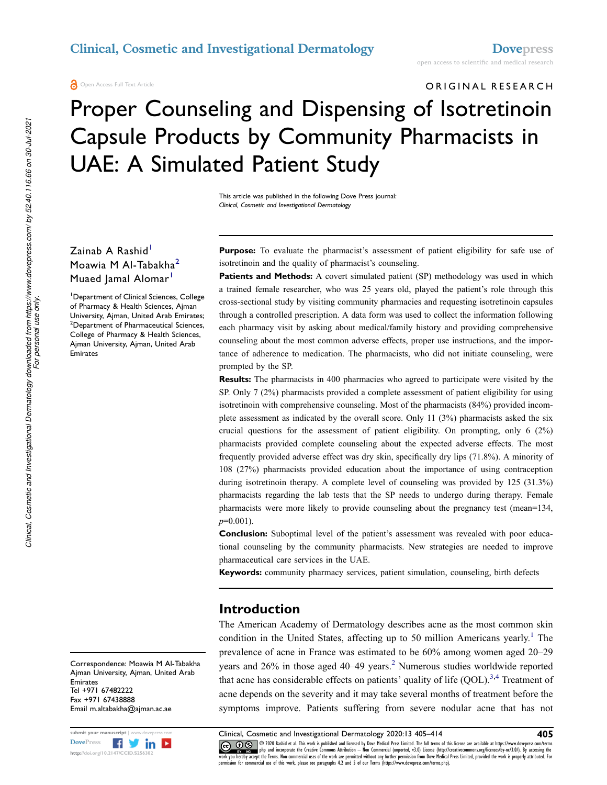**a** Open Access Full Text Article

# ORIGINAL RESEARCH

# Proper Counseling and Dispensing of Isotretinoin Capsule Products by Community Pharmacists in UAE: A Simulated Patient Study

This article was published in the following Dove Press journal: Clinical, Cosmetic and Investigational Dermatology

# Zainab A Rashid<sup>1</sup> Moawia M Al-Tabakha<sup>2</sup> Muaed Jamal Alomar<sup>1</sup>

<sup>1</sup>Department of Clinical Sciences, College of Pharmacy & Health Sciences, Ajman University, Ajman, United Arab Emirates; <sup>2</sup>Department of Pharmaceutical Sciences, College of Pharmacy & Health Sciences, Ajman University, Ajman, United Arab Emirates

**Purpose:** To evaluate the pharmacist's assessment of patient eligibility for safe use of isotretinoin and the quality of pharmacist's counseling.

Patients and Methods: A covert simulated patient (SP) methodology was used in which a trained female researcher, who was 25 years old, played the patient's role through this cross-sectional study by visiting community pharmacies and requesting isotretinoin capsules through a controlled prescription. A data form was used to collect the information following each pharmacy visit by asking about medical/family history and providing comprehensive counseling about the most common adverse effects, proper use instructions, and the importance of adherence to medication. The pharmacists, who did not initiate counseling, were prompted by the SP.

**Results:** The pharmacists in 400 pharmacies who agreed to participate were visited by the SP. Only 7 (2%) pharmacists provided a complete assessment of patient eligibility for using isotretinoin with comprehensive counseling. Most of the pharmacists (84%) provided incomplete assessment as indicated by the overall score. Only 11 (3%) pharmacists asked the six crucial questions for the assessment of patient eligibility. On prompting, only 6 (2%) pharmacists provided complete counseling about the expected adverse effects. The most frequently provided adverse effect was dry skin, specifically dry lips (71.8%). A minority of 108 (27%) pharmacists provided education about the importance of using contraception during isotretinoin therapy. A complete level of counseling was provided by 125 (31.3%) pharmacists regarding the lab tests that the SP needs to undergo during therapy. Female pharmacists were more likely to provide counseling about the pregnancy test (mean=134,  $p=0.001$ ).

**Conclusion:** Suboptimal level of the patient's assessment was revealed with poor educational counseling by the community pharmacists. New strategies are needed to improve pharmaceutical care services in the UAE.

Keywords: community pharmacy services, patient simulation, counseling, birth defects

## Introduction

The American Academy of Dermatology describes acne as the most common skin condition in the United States, affecting up to 50 million Americans yearly.<sup>1</sup> The prevalence of acne in France was estimated to be 60% among women aged 20–29 years and  $26\%$  in those aged  $40-49$  years.<sup>2</sup> Numerous studies worldwide reported that acne has considerable effects on patients' quality of life  $(QOL)$ .<sup>3,4</sup> Treatment of acne depends on the severity and it may take several months of treatment before the symptoms improve. Patients suffering from severe nodular acne that has not

Correspondence: Moawia M Al-Tabakha Ajman University, Ajman, United Arab Emirates Tel +971 67482222 Fax +971 67438888 Email m.altabakha@ajman.ac.ae



submit your manuscript | www.dovepress.com Clinical, Cosmetic and Investigational Dermatology 2020:13 405–414 405<br>DovePress **Figure 1999** 6 2020 Rashid et al. This work is published and licensed by Dove Pledical Press Limi CC **10** S 2020 Rashid et al. This work is published and licensed by Dove Medical Press Limited. The full terms of this license are available at https://www.dovepress.com/terms. www.examphp and incorporate the Creative Commons Attribution - Non Commercial (unported, v3.0) License (http://creativecommons.org/licenses/by-nc/3.0/). By accessing the<br>work you hereby accept the Terms. Non-commercial use permission for commercial use of this work, please see paragraphs 4.2 and 5 of our Terms (https://www.dovepress.com/terms.php).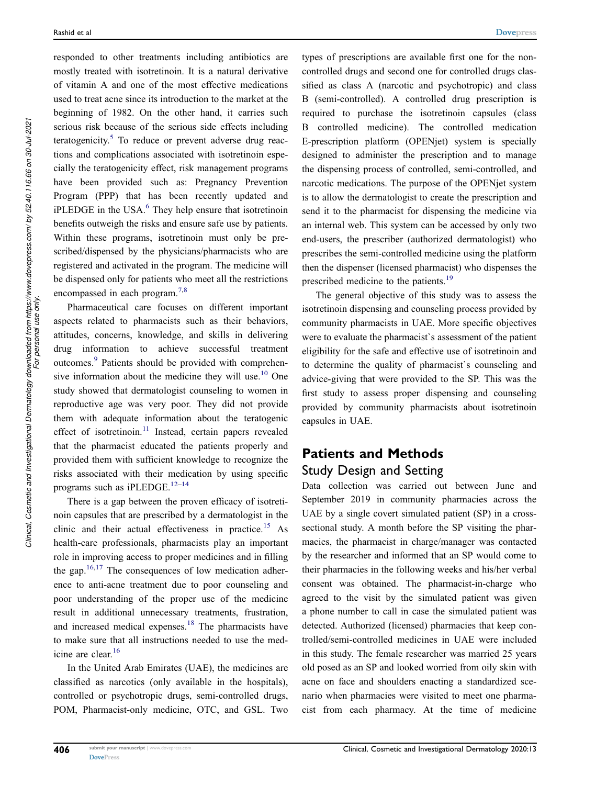responded to other treatments including antibiotics are mostly treated with isotretinoin. It is a natural derivative of vitamin A and one of the most effective medications used to treat acne since its introduction to the market at the beginning of 1982. On the other hand, it carries such serious risk because of the serious side effects including teratogenicity.<sup>5</sup> To reduce or prevent adverse drug reactions and complications associated with isotretinoin especially the teratogenicity effect, risk management programs have been provided such as: Pregnancy Prevention Program (PPP) that has been recently updated and  $i$ PLEDGE in the USA. $<sup>6</sup>$  They help ensure that isotretinoin</sup> benefits outweigh the risks and ensure safe use by patients. Within these programs, isotretinoin must only be prescribed/dispensed by the physicians/pharmacists who are registered and activated in the program. The medicine will be dispensed only for patients who meet all the restrictions encompassed in each program.<sup>7,8</sup>

Pharmaceutical care focuses on different important aspects related to pharmacists such as their behaviors, attitudes, concerns, knowledge, and skills in delivering drug information to achieve successful treatment outcomes.<sup>9</sup> Patients should be provided with comprehensive information about the medicine they will use. $10$  One study showed that dermatologist counseling to women in reproductive age was very poor. They did not provide them with adequate information about the teratogenic effect of isotretinoin.<sup>11</sup> Instead, certain papers revealed that the pharmacist educated the patients properly and provided them with sufficient knowledge to recognize the risks associated with their medication by using specific programs such as iPLEDGE.<sup>12-14</sup>

There is a gap between the proven efficacy of isotretinoin capsules that are prescribed by a dermatologist in the clinic and their actual effectiveness in practice.<sup>15</sup> As health-care professionals, pharmacists play an important role in improving access to proper medicines and in filling the gap. $16,17$  The consequences of low medication adherence to anti-acne treatment due to poor counseling and poor understanding of the proper use of the medicine result in additional unnecessary treatments, frustration, and increased medical expenses.<sup>18</sup> The pharmacists have to make sure that all instructions needed to use the medicine are clear.<sup>16</sup>

In the United Arab Emirates (UAE), the medicines are classified as narcotics (only available in the hospitals), controlled or psychotropic drugs, semi-controlled drugs, POM, Pharmacist-only medicine, OTC, and GSL. Two

types of prescriptions are available first one for the noncontrolled drugs and second one for controlled drugs classified as class A (narcotic and psychotropic) and class B (semi-controlled). A controlled drug prescription is required to purchase the isotretinoin capsules (class B controlled medicine). The controlled medication E-prescription platform (OPENjet) system is specially designed to administer the prescription and to manage the dispensing process of controlled, semi-controlled, and narcotic medications. The purpose of the OPENjet system is to allow the dermatologist to create the prescription and send it to the pharmacist for dispensing the medicine via an internal web. This system can be accessed by only two end-users, the prescriber (authorized dermatologist) who prescribes the semi-controlled medicine using the platform then the dispenser (licensed pharmacist) who dispenses the prescribed medicine to the patients.<sup>19</sup>

The general objective of this study was to assess the isotretinoin dispensing and counseling process provided by community pharmacists in UAE. More specific objectives were to evaluate the pharmacist`s assessment of the patient eligibility for the safe and effective use of isotretinoin and to determine the quality of pharmacist`s counseling and advice-giving that were provided to the SP. This was the first study to assess proper dispensing and counseling provided by community pharmacists about isotretinoin capsules in UAE.

# Patients and Methods Study Design and Setting

Data collection was carried out between June and September 2019 in community pharmacies across the UAE by a single covert simulated patient (SP) in a crosssectional study. A month before the SP visiting the pharmacies, the pharmacist in charge/manager was contacted by the researcher and informed that an SP would come to their pharmacies in the following weeks and his/her verbal consent was obtained. The pharmacist-in-charge who agreed to the visit by the simulated patient was given a phone number to call in case the simulated patient was detected. Authorized (licensed) pharmacies that keep controlled/semi-controlled medicines in UAE were included in this study. The female researcher was married 25 years old posed as an SP and looked worried from oily skin with acne on face and shoulders enacting a standardized scenario when pharmacies were visited to meet one pharmacist from each pharmacy. At the time of medicine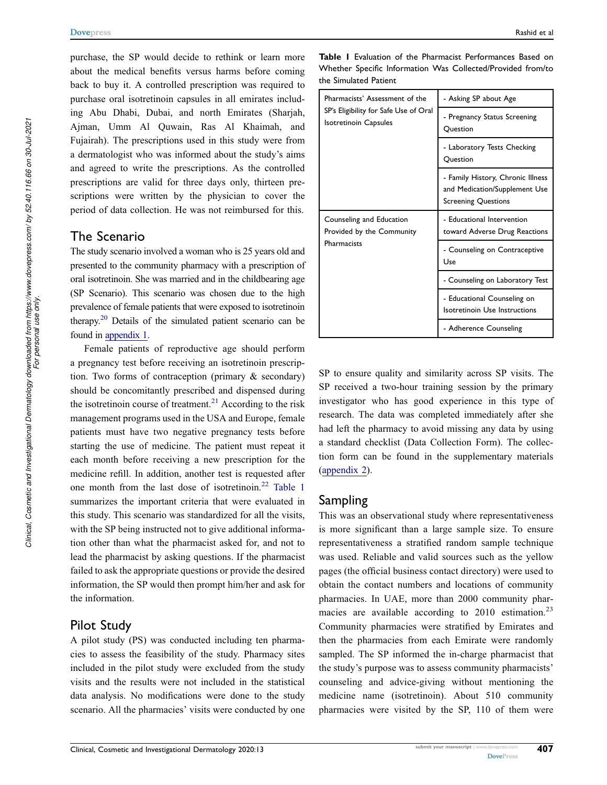purchase, the SP would decide to rethink or learn more about the medical benefits versus harms before coming back to buy it. A controlled prescription was required to purchase oral isotretinoin capsules in all emirates including Abu Dhabi, Dubai, and north Emirates (Sharjah, Ajman, Umm Al Quwain, Ras Al Khaimah, and Fujairah). The prescriptions used in this study were from a dermatologist who was informed about the study's aims and agreed to write the prescriptions. As the controlled prescriptions are valid for three days only, thirteen prescriptions were written by the physician to cover the period of data collection. He was not reimbursed for this.

# The Scenario

The study scenario involved a woman who is 25 years old and presented to the community pharmacy with a prescription of oral isotretinoin. She was married and in the childbearing age (SP Scenario). This scenario was chosen due to the high prevalence of female patients that were exposed to isotretinoin therapy.<sup>20</sup> Details of the simulated patient scenario can be found in appendix 1.

Female patients of reproductive age should perform a pregnancy test before receiving an isotretinoin prescription. Two forms of contraception (primary & secondary) should be concomitantly prescribed and dispensed during the isotretinoin course of treatment. $2<sup>1</sup>$  According to the risk management programs used in the USA and Europe, female patients must have two negative pregnancy tests before starting the use of medicine. The patient must repeat it each month before receiving a new prescription for the medicine refill. In addition, another test is requested after one month from the last dose of isotretinoin.<sup>22</sup> Table 1 summarizes the important criteria that were evaluated in this study. This scenario was standardized for all the visits, with the SP being instructed not to give additional information other than what the pharmacist asked for, and not to lead the pharmacist by asking questions. If the pharmacist failed to ask the appropriate questions or provide the desired information, the SP would then prompt him/her and ask for the information.

## Pilot Study

A pilot study (PS) was conducted including ten pharmacies to assess the feasibility of the study. Pharmacy sites included in the pilot study were excluded from the study visits and the results were not included in the statistical data analysis. No modifications were done to the study scenario. All the pharmacies' visits were conducted by one

Table I Evaluation of the Pharmacist Performances Based on Whether Specific Information Was Collected/Provided from/to the Simulated Patient

| Pharmacists' Assessment of the<br>SP's Eligibility for Safe Use of Oral<br><b>Isotretinoin Capsules</b> | - Asking SP about Age                                                                            |  |
|---------------------------------------------------------------------------------------------------------|--------------------------------------------------------------------------------------------------|--|
|                                                                                                         | - Pregnancy Status Screening<br>Ouestion                                                         |  |
|                                                                                                         | - Laboratory Tests Checking<br>Ouestion                                                          |  |
|                                                                                                         | - Family History, Chronic Illness<br>and Medication/Supplement Use<br><b>Screening Questions</b> |  |
| Counseling and Education<br>Provided by the Community<br>Pharmacists                                    | - Educational Intervention<br>toward Adverse Drug Reactions                                      |  |
|                                                                                                         | - Counseling on Contraceptive<br>Use                                                             |  |
|                                                                                                         | - Counseling on Laboratory Test                                                                  |  |
|                                                                                                         | - Educational Counseling on<br>Isotretinoin Use Instructions                                     |  |
|                                                                                                         | - Adherence Counseling                                                                           |  |

SP to ensure quality and similarity across SP visits. The SP received a two-hour training session by the primary investigator who has good experience in this type of research. The data was completed immediately after she had left the pharmacy to avoid missing any data by using a standard checklist (Data Collection Form). The collection form can be found in the supplementary materials (appendix 2).

# Sampling

This was an observational study where representativeness is more significant than a large sample size. To ensure representativeness a stratified random sample technique was used. Reliable and valid sources such as the yellow pages (the official business contact directory) were used to obtain the contact numbers and locations of community pharmacies. In UAE, more than 2000 community pharmacies are available according to  $2010$  estimation.<sup>23</sup> Community pharmacies were stratified by Emirates and then the pharmacies from each Emirate were randomly sampled. The SP informed the in-charge pharmacist that the study's purpose was to assess community pharmacists' counseling and advice-giving without mentioning the medicine name (isotretinoin). About 510 community pharmacies were visited by the SP, 110 of them were

*For personal use only.*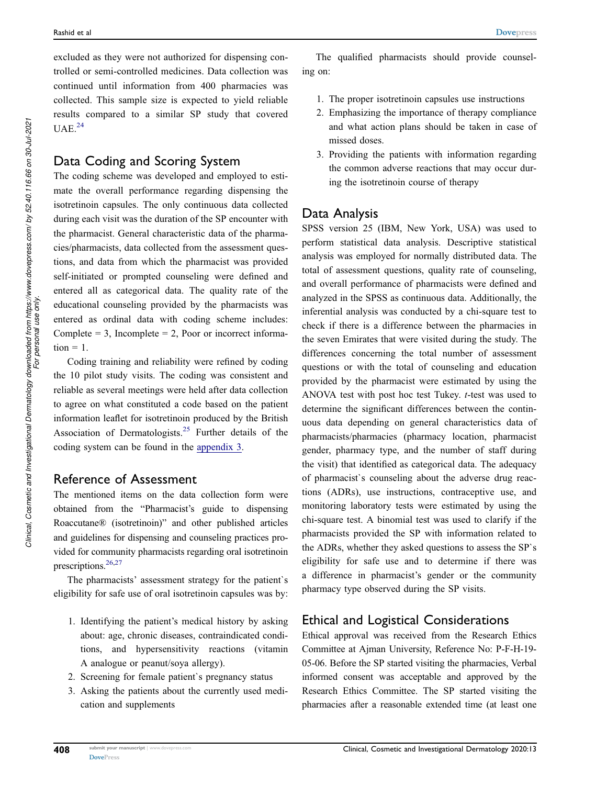excluded as they were not authorized for dispensing controlled or semi-controlled medicines. Data collection was continued until information from 400 pharmacies was collected. This sample size is expected to yield reliable results compared to a similar SP study that covered  $UAE.<sup>24</sup>$ 

# Data Coding and Scoring System

The coding scheme was developed and employed to estimate the overall performance regarding dispensing the isotretinoin capsules. The only continuous data collected during each visit was the duration of the SP encounter with the pharmacist. General characteristic data of the pharmacies/pharmacists, data collected from the assessment questions, and data from which the pharmacist was provided self-initiated or prompted counseling were defined and entered all as categorical data. The quality rate of the educational counseling provided by the pharmacists was entered as ordinal data with coding scheme includes: Complete  $= 3$ , Incomplete  $= 2$ , Poor or incorrect informa $tion = 1$ .

Coding training and reliability were refined by coding the 10 pilot study visits. The coding was consistent and reliable as several meetings were held after data collection to agree on what constituted a code based on the patient information leaflet for isotretinoin produced by the British Association of Dermatologists.<sup>25</sup> Further details of the coding system can be found in the appendix 3.

# Reference of Assessment

The mentioned items on the data collection form were obtained from the "Pharmacist's guide to dispensing Roaccutane® (isotretinoin)" and other published articles and guidelines for dispensing and counseling practices provided for community pharmacists regarding oral isotretinoin prescriptions.<sup>26,27</sup>

The pharmacists' assessment strategy for the patient`s eligibility for safe use of oral isotretinoin capsules was by:

- 1. Identifying the patient's medical history by asking about: age, chronic diseases, contraindicated conditions, and hypersensitivity reactions (vitamin A analogue or peanut/soya allergy).
- 2. Screening for female patient`s pregnancy status
- 3. Asking the patients about the currently used medication and supplements
- 1. The proper isotretinoin capsules use instructions
- 2. Emphasizing the importance of therapy compliance and what action plans should be taken in case of missed doses.
- 3. Providing the patients with information regarding the common adverse reactions that may occur during the isotretinoin course of therapy

## Data Analysis

SPSS version 25 (IBM, New York, USA) was used to perform statistical data analysis. Descriptive statistical analysis was employed for normally distributed data. The total of assessment questions, quality rate of counseling, and overall performance of pharmacists were defined and analyzed in the SPSS as continuous data. Additionally, the inferential analysis was conducted by a chi-square test to check if there is a difference between the pharmacies in the seven Emirates that were visited during the study. The differences concerning the total number of assessment questions or with the total of counseling and education provided by the pharmacist were estimated by using the ANOVA test with post hoc test Tukey. t-test was used to determine the significant differences between the continuous data depending on general characteristics data of pharmacists/pharmacies (pharmacy location, pharmacist gender, pharmacy type, and the number of staff during the visit) that identified as categorical data. The adequacy of pharmacist`s counseling about the adverse drug reactions (ADRs), use instructions, contraceptive use, and monitoring laboratory tests were estimated by using the chi-square test. A binomial test was used to clarify if the pharmacists provided the SP with information related to the ADRs, whether they asked questions to assess the SP`s eligibility for safe use and to determine if there was a difference in pharmacist's gender or the community pharmacy type observed during the SP visits.

# Ethical and Logistical Considerations

Ethical approval was received from the Research Ethics Committee at Ajman University, Reference No: P-F-H-19- 05-06. Before the SP started visiting the pharmacies, Verbal informed consent was acceptable and approved by the Research Ethics Committee. The SP started visiting the pharmacies after a reasonable extended time (at least one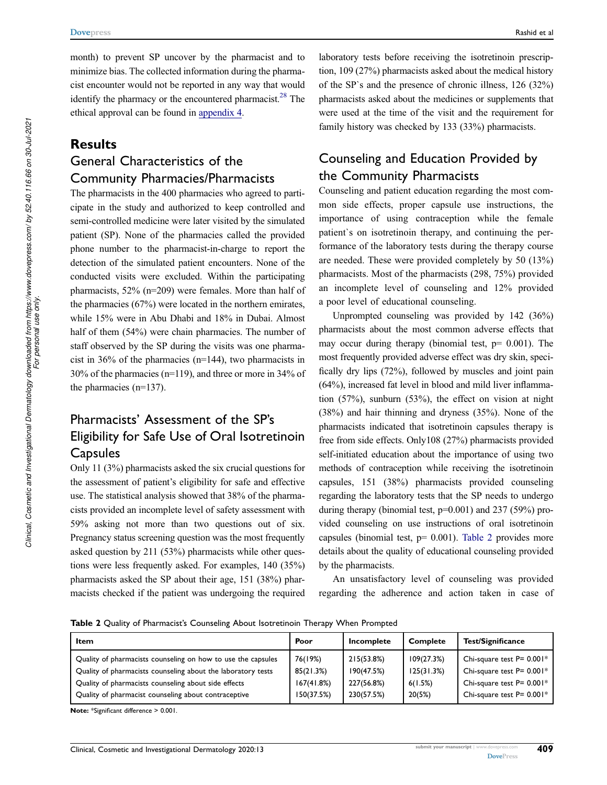month) to prevent SP uncover by the pharmacist and to minimize bias. The collected information during the pharmacist encounter would not be reported in any way that would identify the pharmacy or the encountered pharmacist.<sup>28</sup> The ethical approval can be found in appendix 4.

# Results

# General Characteristics of the Community Pharmacies/Pharmacists

The pharmacists in the 400 pharmacies who agreed to participate in the study and authorized to keep controlled and semi-controlled medicine were later visited by the simulated patient (SP). None of the pharmacies called the provided phone number to the pharmacist-in-charge to report the detection of the simulated patient encounters. None of the conducted visits were excluded. Within the participating pharmacists, 52% (n=209) were females. More than half of the pharmacies (67%) were located in the northern emirates, while 15% were in Abu Dhabi and 18% in Dubai. Almost half of them (54%) were chain pharmacies. The number of staff observed by the SP during the visits was one pharmacist in  $36\%$  of the pharmacies (n=144), two pharmacists in 30% of the pharmacies (n=119), and three or more in 34% of the pharmacies (n=137).

# Pharmacists' Assessment of the SP's Eligibility for Safe Use of Oral Isotretinoin Capsules

Only 11 (3%) pharmacists asked the six crucial questions for the assessment of patient's eligibility for safe and effective use. The statistical analysis showed that 38% of the pharmacists provided an incomplete level of safety assessment with 59% asking not more than two questions out of six. Pregnancy status screening question was the most frequently asked question by 211 (53%) pharmacists while other questions were less frequently asked. For examples, 140 (35%) pharmacists asked the SP about their age, 151 (38%) pharmacists checked if the patient was undergoing the required

laboratory tests before receiving the isotretinoin prescription, 109 (27%) pharmacists asked about the medical history of the SP`s and the presence of chronic illness, 126 (32%) pharmacists asked about the medicines or supplements that were used at the time of the visit and the requirement for family history was checked by 133 (33%) pharmacists.

# Counseling and Education Provided by the Community Pharmacists

Counseling and patient education regarding the most common side effects, proper capsule use instructions, the importance of using contraception while the female patient`s on isotretinoin therapy, and continuing the performance of the laboratory tests during the therapy course are needed. These were provided completely by 50 (13%) pharmacists. Most of the pharmacists (298, 75%) provided an incomplete level of counseling and 12% provided a poor level of educational counseling.

Unprompted counseling was provided by 142 (36%) pharmacists about the most common adverse effects that may occur during therapy (binomial test,  $p= 0.001$ ). The most frequently provided adverse effect was dry skin, specifically dry lips (72%), followed by muscles and joint pain (64%), increased fat level in blood and mild liver inflammation (57%), sunburn (53%), the effect on vision at night (38%) and hair thinning and dryness (35%). None of the pharmacists indicated that isotretinoin capsules therapy is free from side effects. Only108 (27%) pharmacists provided self-initiated education about the importance of using two methods of contraception while receiving the isotretinoin capsules, 151 (38%) pharmacists provided counseling regarding the laboratory tests that the SP needs to undergo during therapy (binomial test,  $p=0.001$ ) and 237 (59%) provided counseling on use instructions of oral isotretinoin capsules (binomial test,  $p= 0.001$ ). Table 2 provides more details about the quality of educational counseling provided by the pharmacists.

An unsatisfactory level of counseling was provided regarding the adherence and action taken in case of

Table 2 Quality of Pharmacist's Counseling About Isotretinoin Therapy When Prompted

| Item                                                         | Poor       | Incomplete | <b>Complete</b> | <b>Test/Significance</b>                 |
|--------------------------------------------------------------|------------|------------|-----------------|------------------------------------------|
| Quality of pharmacists counseling on how to use the capsules | 76(19%)    | 215(53.8%) | 109(27.3%)      | Chi-square test $P = 0.001$ <sup>*</sup> |
| Quality of pharmacists counseling about the laboratory tests | 85(21.3%)  | 190(47.5%) | 125(31.3%)      | Chi-square test $P = 0.001$ <sup>*</sup> |
| Quality of pharmacists counseling about side effects         | 167(41.8%) | 227(56.8%) | 6(1.5%)         | Chi-square test $P = 0.001$ <sup>*</sup> |
| Quality of pharmacist counseling about contraceptive         | 150(37.5%) | 230(57.5%) | 20(5%)          | Chi-square test $P = 0.001$ <sup>*</sup> |

Note: \*Significant difference > 0.001.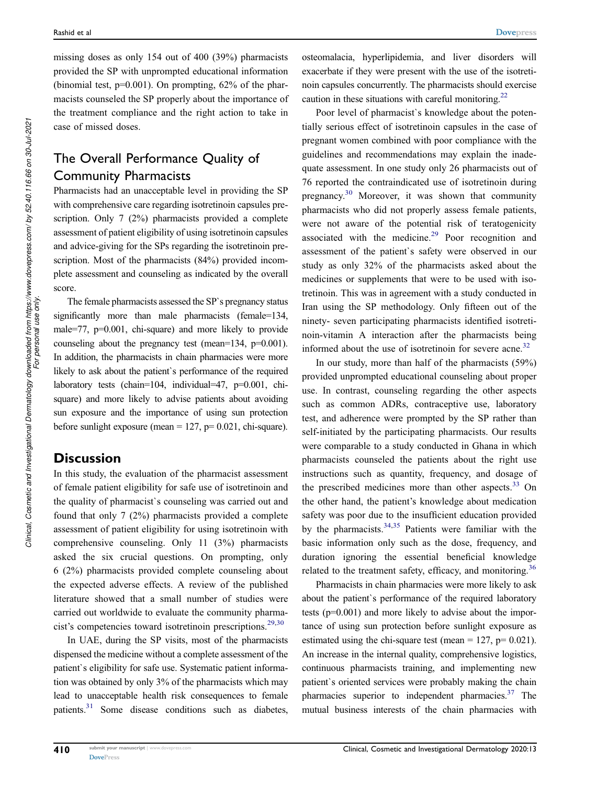missing doses as only 154 out of 400 (39%) pharmacists provided the SP with unprompted educational information (binomial test,  $p=0.001$ ). On prompting,  $62\%$  of the pharmacists counseled the SP properly about the importance of the treatment compliance and the right action to take in case of missed doses.

# The Overall Performance Quality of Community Pharmacists

Pharmacists had an unacceptable level in providing the SP with comprehensive care regarding isotretinoin capsules prescription. Only 7 (2%) pharmacists provided a complete assessment of patient eligibility of using isotretinoin capsules and advice-giving for the SPs regarding the isotretinoin prescription. Most of the pharmacists (84%) provided incomplete assessment and counseling as indicated by the overall score.

The female pharmacists assessed the SP`s pregnancy status significantly more than male pharmacists (female=134, male=77, p=0.001, chi-square) and more likely to provide counseling about the pregnancy test (mean=134, p=0.001). In addition, the pharmacists in chain pharmacies were more likely to ask about the patient`s performance of the required laboratory tests (chain=104, individual=47, p=0.001, chisquare) and more likely to advise patients about avoiding sun exposure and the importance of using sun protection before sunlight exposure (mean =  $127$ ,  $p= 0.021$ , chi-square).

## **Discussion**

In this study, the evaluation of the pharmacist assessment of female patient eligibility for safe use of isotretinoin and the quality of pharmacist`s counseling was carried out and found that only 7 (2%) pharmacists provided a complete assessment of patient eligibility for using isotretinoin with comprehensive counseling. Only 11 (3%) pharmacists asked the six crucial questions. On prompting, only 6 (2%) pharmacists provided complete counseling about the expected adverse effects. A review of the published literature showed that a small number of studies were carried out worldwide to evaluate the community pharmacist's competencies toward isotretinoin prescriptions.<sup>29,30</sup>

In UAE, during the SP visits, most of the pharmacists dispensed the medicine without a complete assessment of the patient`s eligibility for safe use. Systematic patient information was obtained by only 3% of the pharmacists which may lead to unacceptable health risk consequences to female patients.<sup>31</sup> Some disease conditions such as diabetes, osteomalacia, hyperlipidemia, and liver disorders will exacerbate if they were present with the use of the isotretinoin capsules concurrently. The pharmacists should exercise caution in these situations with careful monitoring.<sup>22</sup>

Poor level of pharmacist`s knowledge about the potentially serious effect of isotretinoin capsules in the case of pregnant women combined with poor compliance with the guidelines and recommendations may explain the inadequate assessment. In one study only 26 pharmacists out of 76 reported the contraindicated use of isotretinoin during pregnancy.<sup>30</sup> Moreover, it was shown that community pharmacists who did not properly assess female patients, were not aware of the potential risk of teratogenicity associated with the medicine. $29$  Poor recognition and assessment of the patient`s safety were observed in our study as only 32% of the pharmacists asked about the medicines or supplements that were to be used with isotretinoin. This was in agreement with a study conducted in Iran using the SP methodology. Only fifteen out of the ninety- seven participating pharmacists identified isotretinoin-vitamin A interaction after the pharmacists being informed about the use of isotretinoin for severe acne.<sup>32</sup>

In our study, more than half of the pharmacists (59%) provided unprompted educational counseling about proper use. In contrast, counseling regarding the other aspects such as common ADRs, contraceptive use, laboratory test, and adherence were prompted by the SP rather than self-initiated by the participating pharmacists. Our results were comparable to a study conducted in Ghana in which pharmacists counseled the patients about the right use instructions such as quantity, frequency, and dosage of the prescribed medicines more than other aspects. $33$  On the other hand, the patient's knowledge about medication safety was poor due to the insufficient education provided by the pharmacists.34,35 Patients were familiar with the basic information only such as the dose, frequency, and duration ignoring the essential beneficial knowledge related to the treatment safety, efficacy, and monitoring.<sup>36</sup>

Pharmacists in chain pharmacies were more likely to ask about the patient`s performance of the required laboratory tests (p=0.001) and more likely to advise about the importance of using sun protection before sunlight exposure as estimated using the chi-square test (mean =  $127$ , p= 0.021). An increase in the internal quality, comprehensive logistics, continuous pharmacists training, and implementing new patient`s oriented services were probably making the chain pharmacies superior to independent pharmacies. $37$  The mutual business interests of the chain pharmacies with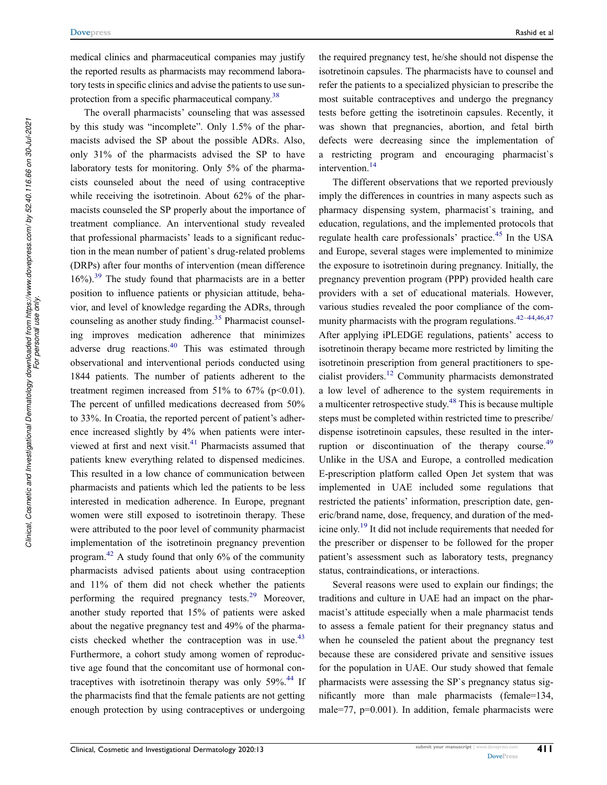medical clinics and pharmaceutical companies may justify the reported results as pharmacists may recommend laboratory tests in specific clinics and advise the patients to use sunprotection from a specific pharmaceutical company.<sup>38</sup>

The overall pharmacists' counseling that was assessed by this study was "incomplete". Only 1.5% of the pharmacists advised the SP about the possible ADRs. Also, only 31% of the pharmacists advised the SP to have laboratory tests for monitoring. Only 5% of the pharmacists counseled about the need of using contraceptive while receiving the isotretinoin. About 62% of the pharmacists counseled the SP properly about the importance of treatment compliance. An interventional study revealed that professional pharmacists' leads to a significant reduction in the mean number of patient`s drug-related problems (DRPs) after four months of intervention (mean difference  $16\%$ ).<sup>39</sup> The study found that pharmacists are in a better position to influence patients or physician attitude, behavior, and level of knowledge regarding the ADRs, through counseling as another study finding.<sup>35</sup> Pharmacist counseling improves medication adherence that minimizes adverse drug reactions.<sup>40</sup> This was estimated through observational and interventional periods conducted using 1844 patients. The number of patients adherent to the treatment regimen increased from 51% to 67% ( $p<0.01$ ). The percent of unfilled medications decreased from 50% to 33%. In Croatia, the reported percent of patient's adherence increased slightly by 4% when patients were interviewed at first and next visit.<sup>41</sup> Pharmacists assumed that patients knew everything related to dispensed medicines. This resulted in a low chance of communication between pharmacists and patients which led the patients to be less interested in medication adherence. In Europe, pregnant women were still exposed to isotretinoin therapy. These were attributed to the poor level of community pharmacist implementation of the isotretinoin pregnancy prevention program.<sup>42</sup> A study found that only  $6\%$  of the community pharmacists advised patients about using contraception and 11% of them did not check whether the patients performing the required pregnancy tests.<sup>29</sup> Moreover, another study reported that 15% of patients were asked about the negative pregnancy test and 49% of the pharmacists checked whether the contraception was in use. $43$ Furthermore, a cohort study among women of reproductive age found that the concomitant use of hormonal contraceptives with isotretinoin therapy was only  $59\%$ .<sup>44</sup> If the pharmacists find that the female patients are not getting enough protection by using contraceptives or undergoing

the required pregnancy test, he/she should not dispense the isotretinoin capsules. The pharmacists have to counsel and refer the patients to a specialized physician to prescribe the most suitable contraceptives and undergo the pregnancy tests before getting the isotretinoin capsules. Recently, it was shown that pregnancies, abortion, and fetal birth defects were decreasing since the implementation of a restricting program and encouraging pharmacist`s intervention.<sup>14</sup>

The different observations that we reported previously imply the differences in countries in many aspects such as pharmacy dispensing system, pharmacist`s training, and education, regulations, and the implemented protocols that regulate health care professionals' practice.<sup>45</sup> In the USA and Europe, several stages were implemented to minimize the exposure to isotretinoin during pregnancy. Initially, the pregnancy prevention program (PPP) provided health care providers with a set of educational materials. However, various studies revealed the poor compliance of the community pharmacists with the program regulations.  $42-44,46,47$ After applying iPLEDGE regulations, patients' access to isotretinoin therapy became more restricted by limiting the isotretinoin prescription from general practitioners to specialist providers.<sup>12</sup> Community pharmacists demonstrated a low level of adherence to the system requirements in a multicenter retrospective study.<sup>48</sup> This is because multiple steps must be completed within restricted time to prescribe/ dispense isotretinoin capsules, these resulted in the interruption or discontinuation of the therapy course.<sup>49</sup> Unlike in the USA and Europe, a controlled medication E-prescription platform called Open Jet system that was implemented in UAE included some regulations that restricted the patients' information, prescription date, generic/brand name, dose, frequency, and duration of the medicine only.<sup>19</sup> It did not include requirements that needed for the prescriber or dispenser to be followed for the proper patient's assessment such as laboratory tests, pregnancy status, contraindications, or interactions.

Several reasons were used to explain our findings; the traditions and culture in UAE had an impact on the pharmacist's attitude especially when a male pharmacist tends to assess a female patient for their pregnancy status and when he counseled the patient about the pregnancy test because these are considered private and sensitive issues for the population in UAE. Our study showed that female pharmacists were assessing the SP`s pregnancy status significantly more than male pharmacists (female=134, male=77, p=0.001). In addition, female pharmacists were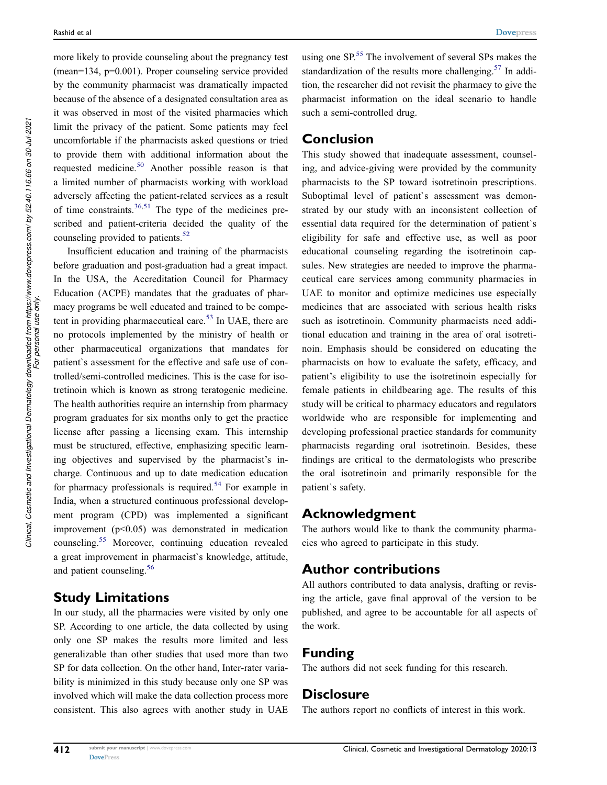more likely to provide counseling about the pregnancy test (mean=134, p=0.001). Proper counseling service provided by the community pharmacist was dramatically impacted because of the absence of a designated consultation area as it was observed in most of the visited pharmacies which limit the privacy of the patient. Some patients may feel uncomfortable if the pharmacists asked questions or tried to provide them with additional information about the requested medicine.<sup>50</sup> Another possible reason is that a limited number of pharmacists working with workload adversely affecting the patient-related services as a result of time constraints. $36,51$  The type of the medicines prescribed and patient-criteria decided the quality of the counseling provided to patients.<sup>52</sup>

Insufficient education and training of the pharmacists before graduation and post-graduation had a great impact. In the USA, the Accreditation Council for Pharmacy Education (ACPE) mandates that the graduates of pharmacy programs be well educated and trained to be competent in providing pharmaceutical care.<sup>53</sup> In UAE, there are no protocols implemented by the ministry of health or other pharmaceutical organizations that mandates for patient`s assessment for the effective and safe use of controlled/semi-controlled medicines. This is the case for isotretinoin which is known as strong teratogenic medicine. The health authorities require an internship from pharmacy program graduates for six months only to get the practice license after passing a licensing exam. This internship must be structured, effective, emphasizing specific learning objectives and supervised by the pharmacist's incharge. Continuous and up to date medication education for pharmacy professionals is required.<sup>54</sup> For example in India, when a structured continuous professional development program (CPD) was implemented a significant improvement  $(p<0.05)$  was demonstrated in medication counseling.<sup>55</sup> Moreover, continuing education revealed a great improvement in pharmacist`s knowledge, attitude, and patient counseling.<sup>56</sup>

## Study Limitations

In our study, all the pharmacies were visited by only one SP. According to one article, the data collected by using only one SP makes the results more limited and less generalizable than other studies that used more than two SP for data collection. On the other hand, Inter-rater variability is minimized in this study because only one SP was involved which will make the data collection process more consistent. This also agrees with another study in UAE

using one  $SP<sub>0</sub>$ <sup>55</sup>. The involvement of several SPs makes the standardization of the results more challenging.<sup>57</sup> In addition, the researcher did not revisit the pharmacy to give the pharmacist information on the ideal scenario to handle such a semi-controlled drug.

# Conclusion

This study showed that inadequate assessment, counseling, and advice-giving were provided by the community pharmacists to the SP toward isotretinoin prescriptions. Suboptimal level of patient`s assessment was demonstrated by our study with an inconsistent collection of essential data required for the determination of patient`s eligibility for safe and effective use, as well as poor educational counseling regarding the isotretinoin capsules. New strategies are needed to improve the pharmaceutical care services among community pharmacies in UAE to monitor and optimize medicines use especially medicines that are associated with serious health risks such as isotretinoin. Community pharmacists need additional education and training in the area of oral isotretinoin. Emphasis should be considered on educating the pharmacists on how to evaluate the safety, efficacy, and patient's eligibility to use the isotretinoin especially for female patients in childbearing age. The results of this study will be critical to pharmacy educators and regulators worldwide who are responsible for implementing and developing professional practice standards for community pharmacists regarding oral isotretinoin. Besides, these findings are critical to the dermatologists who prescribe the oral isotretinoin and primarily responsible for the patient`s safety.

# Acknowledgment

The authors would like to thank the community pharmacies who agreed to participate in this study.

# Author contributions

All authors contributed to data analysis, drafting or revising the article, gave final approval of the version to be published, and agree to be accountable for all aspects of the work.

# Funding

The authors did not seek funding for this research.

# **Disclosure**

The authors report no conflicts of interest in this work.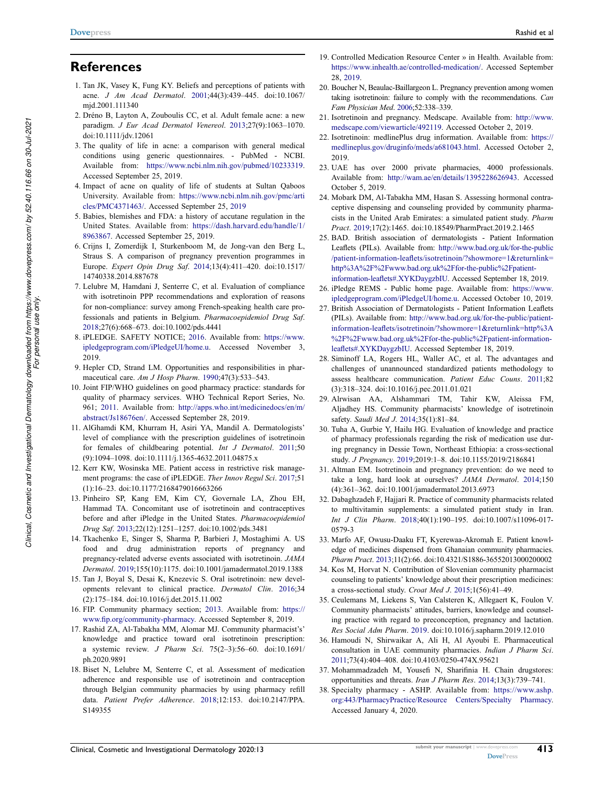- 1. Tan JK, Vasey K, Fung KY. Beliefs and perceptions of patients with acne. J Am Acad Dermatol. 2001;44(3):439–445. doi:10.1067/ mjd.2001.111340
- 2. Dréno B, Layton A, Zouboulis CC, et al. Adult female acne: a new paradigm. J Eur Acad Dermatol Venereol. 2013;27(9):1063–1070. doi:10.1111/jdv.12061
- 3. The quality of life in acne: a comparison with general medical conditions using generic questionnaires. - PubMed - NCBI. Available from: https://www.ncbi.nlm.nih.gov/pubmed/10233319. Accessed September 25, 2019.
- 4. Impact of acne on quality of life of students at Sultan Qaboos University. Available from: https://www.ncbi.nlm.nih.gov/pmc/arti cles/PMC4371463/. Accessed September 25, 2019
- 5. Babies, blemishes and FDA: a history of accutane regulation in the United States. Available from: https://dash.harvard.edu/handle/1/ 8963867. Accessed September 25, 2019.
- 6. Crijns I, Zomerdijk I, Sturkenboom M, de Jong-van den Berg L, Straus S. A comparison of pregnancy prevention programmes in Europe. Expert Opin Drug Saf. 2014;13(4):411–420. doi:10.1517/ 14740338.2014.887678
- 7. Lelubre M, Hamdani J, Senterre C, et al. Evaluation of compliance with isotretinoin PPP recommendations and exploration of reasons for non-compliance: survey among French-speaking health care professionals and patients in Belgium. Pharmacoepidemiol Drug Saf. 2018;27(6):668–673. doi:10.1002/pds.4441
- 8. iPLEDGE. SAFETY NOTICE; 2016. Available from: https://www. ipledgeprogram.com/iPledgeUI/home.u. Accessed November 3, 2019.
- 9. Hepler CD, Strand LM. Opportunities and responsibilities in pharmaceutical care. Am J Hosp Pharm. 1990;47(3):533–543.
- 10. Joint FIP/WHO guidelines on good pharmacy practice: standards for quality of pharmacy services. WHO Technical Report Series, No. 961; 2011. Available from: http://apps.who.int/medicinedocs/en/m/ abstract/Js18676en/. Accessed September 28, 2019.
- 11. AlGhamdi KM, Khurram H, Asiri YA, Mandil A. Dermatologists' level of compliance with the prescription guidelines of isotretinoin for females of childbearing potential. Int J Dermatol. 2011;50 (9):1094–1098. doi:10.1111/j.1365-4632.2011.04875.x
- 12. Kerr KW, Wosinska ME. Patient access in restrictive risk management programs: the case of iPLEDGE. Ther Innov Regul Sci. 2017;51 (1):16–23. doi:10.1177/2168479016663266
- 13. Pinheiro SP, Kang EM, Kim CY, Governale LA, Zhou EH, Hammad TA. Concomitant use of isotretinoin and contraceptives before and after iPledge in the United States. Pharmacoepidemiol Drug Saf. 2013;22(12):1251–1257. doi:10.1002/pds.3481
- 14. Tkachenko E, Singer S, Sharma P, Barbieri J, Mostaghimi A. US food and drug administration reports of pregnancy and pregnancy-related adverse events associated with isotretinoin. JAMA Dermatol. 2019;155(10):1175. doi:10.1001/jamadermatol.2019.1388
- 15. Tan J, Boyal S, Desai K, Knezevic S. Oral isotretinoin: new developments relevant to clinical practice. Dermatol Clin. 2016;34 (2):175–184. doi:10.1016/j.det.2015.11.002
- 16. FIP. Community pharmacy section; 2013. Available from: https:// www.fip.org/community-pharmacy. Accessed September 8, 2019.
- 17. Rashid ZA, Al-Tabakha MM, Alomar MJ. Community pharmacist's' knowledge and practice toward oral isotretinoin prescription: a systemic review. J Pharm Sci. 75(2–3):56–60. doi:10.1691/ ph.2020.9891
- 18. Biset N, Lelubre M, Senterre C, et al. Assessment of medication adherence and responsible use of isotretinoin and contraception through Belgian community pharmacies by using pharmacy refill data. Patient Prefer Adherence. 2018;12:153. doi:10.2147/PPA. S149355
- 19. Controlled Medication Resource Center » in Health. Available from: https://www.inhealth.ae/controlled-medication/. Accessed September 28, 2019.
- 20. Boucher N, Beaulac-Baillargeon L. Pregnancy prevention among women taking isotretinoin: failure to comply with the recommendations. Can Fam Physician Med. 2006;52:338–339.
- 21. Isotretinoin and pregnancy. Medscape. Available from: http://www. medscape.com/viewarticle/492119. Accessed October 2, 2019.
- 22. Isotretinoin: medlinePlus drug information. Available from: https:// medlineplus.gov/druginfo/meds/a681043.html. Accessed October 2, 2019.
- 23. UAE has over 2000 private pharmacies, 4000 professionals. Available from: http://wam.ae/en/details/1395228626943. Accessed October 5, 2019.
- 24. Mobark DM, Al-Tabakha MM, Hasan S. Assessing hormonal contraceptive dispensing and counseling provided by community pharmacists in the United Arab Emirates: a simulated patient study. Pharm Pract. 2019;17(2):1465. doi:10.18549/PharmPract.2019.2.1465
- 25. BAD. British association of dermatologists Patient Information Leaflets (PILs). Available from: http://www.bad.org.uk/for-the-public /patient-information-leaflets/isotretinoin/?showmore=1&returnlink= http%3A%2F%2Fwww.bad.org.uk%2Ffor-the-public%2Fpatientinformation-leaflets#.XYKDaygzbIU. Accessed September 18, 2019.
- 26. iPledge REMS Public home page. Available from: https://www. ipledgeprogram.com/iPledgeUI/home.u. Accessed October 10, 2019.
- 27. British Association of Dermatologists Patient Information Leaflets (PILs). Available from: http://www.bad.org.uk/for-the-public/patientinformation-leaflets/isotretinoin/?showmore=1&returnlink=http%3A %2F%2Fwww.bad.org.uk%2Ffor-the-public%2Fpatient-informationleaflets#.XYKDaygzbIU. Accessed September 18, 2019.
- 28. Siminoff LA, Rogers HL, Waller AC, et al. The advantages and challenges of unannounced standardized patients methodology to assess healthcare communication. Patient Educ Couns. 2011;82 (3):318–324. doi:10.1016/j.pec.2011.01.021
- 29. Alrwisan AA, Alshammari TM, Tahir KW, Aleissa FM, Aljadhey HS. Community pharmacists' knowledge of isotretinoin safety. Saudi Med J. 2014;35(1):81–84.
- 30. Tuha A, Gurbie Y, Hailu HG. Evaluation of knowledge and practice of pharmacy professionals regarding the risk of medication use during pregnancy in Dessie Town, Northeast Ethiopia: a cross-sectional study. J Pregnancy. 2019;2019:1–8. doi:10.1155/2019/2186841
- 31. Altman EM. Isotretinoin and pregnancy prevention: do we need to take a long, hard look at ourselves? JAMA Dermatol. 2014;150 (4):361–362. doi:10.1001/jamadermatol.2013.6973
- 32. Dabaghzadeh F, Hajjari R. Practice of community pharmacists related to multivitamin supplements: a simulated patient study in Iran. Int J Clin Pharm. 2018;40(1):190–195. doi:10.1007/s11096-017- 0579-3
- 33. Marfo AF, Owusu-Daaku FT, Kyerewaa-Akromah E. Patient knowledge of medicines dispensed from Ghanaian community pharmacies. Pharm Pract. 2013;11(2):66. doi:10.4321/S1886-36552013000200002
- 34. Kos M, Horvat N. Contribution of Slovenian community pharmacist counseling to patients' knowledge about their prescription medicines: a cross-sectional study. Croat Med J. 2015;1(56):41–49.
- 35. Ceulemans M, Liekens S, Van Calsteren K, Allegaert K, Foulon V. Community pharmacists' attitudes, barriers, knowledge and counseling practice with regard to preconception, pregnancy and lactation. Res Social Adm Pharm. 2019. doi:10.1016/j.sapharm.2019.12.010
- 36. Hamoudi N, Shirwaikar A, Ali H, Al Ayoubi E. Pharmaceutical consultation in UAE community pharmacies. Indian J Pharm Sci. 2011;73(4):404–408. doi:10.4103/0250-474X.95621
- 37. Mohammadzadeh M, Yousefi N, Sharifinia H. Chain drugstores: opportunities and threats. Iran J Pharm Res. 2014;13(3):739–741.
- 38. Specialty pharmacy ASHP. Available from: https://www.ashp. org:443/PharmacyPractice/Resource Centers/Specialty Pharmacy. Accessed January 4, 2020.